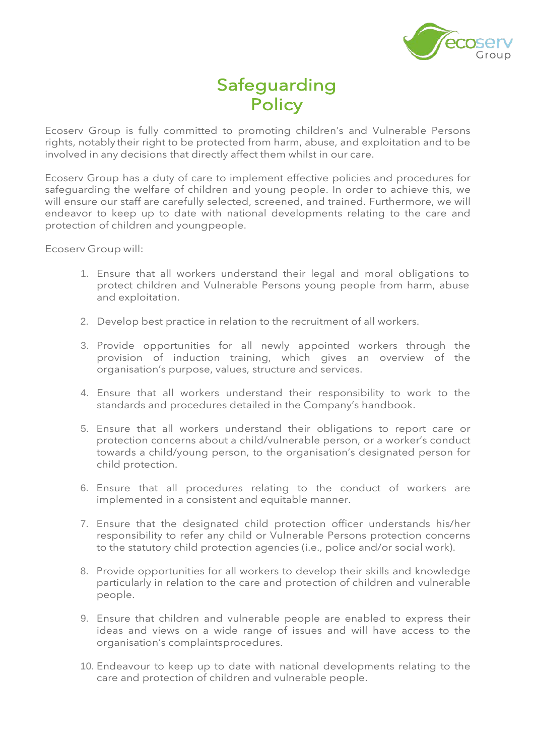

# Safeguarding **Policy**

Ecoserv Group is fully committed to promoting children's and Vulnerable Persons rights, notably their right to be protected from harm, abuse, and exploitation and to be involved in any decisions that directly affect them whilst in our care.

Ecoserv Group has a duty of care to implement effective policies and procedures for safeguarding the welfare of children and young people. In order to achieve this, we will ensure our staff are carefully selected, screened, and trained. Furthermore, we will endeavor to keep up to date with national developments relating to the care and protection of children and youngpeople.

Ecoserv Group will:

- 1. Ensure that all workers understand their legal and moral obligations to protect children and Vulnerable Persons young people from harm, abuse and exploitation.
- 2. Develop best practice in relation to the recruitment of all workers.
- 3. Provide opportunities for all newly appointed workers through the provision of induction training, which gives an overview of the organisation's purpose, values, structure and services.
- 4. Ensure that all workers understand their responsibility to work to the standards and procedures detailed in the Company's handbook.
- 5. Ensure that all workers understand their obligations to report care or protection concerns about a child/vulnerable person, or a worker's conduct towards a child/young person, to the organisation's designated person for child protection.
- 6. Ensure that all procedures relating to the conduct of workers are implemented in a consistent and equitable manner.
- 7. Ensure that the designated child protection officer understands his/her responsibility to refer any child or Vulnerable Persons protection concerns to the statutory child protection agencies (i.e., police and/or social work).
- 8. Provide opportunities for all workers to develop their skills and knowledge particularly in relation to the care and protection of children and vulnerable people.
- 9. Ensure that children and vulnerable people are enabled to express their ideas and views on a wide range of issues and will have access to the organisation's complaintsprocedures.
- 10. Endeavour to keep up to date with national developments relating to the care and protection of children and vulnerable people.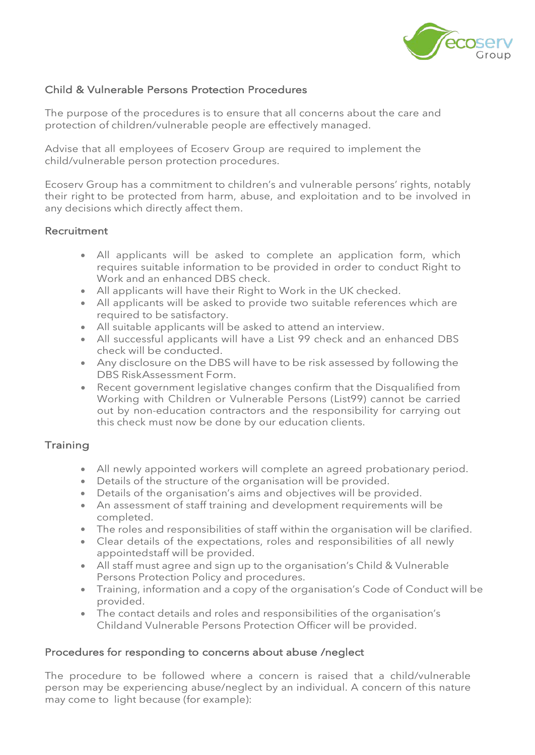

## Child & Vulnerable Persons Protection Procedures

The purpose of the procedures is to ensure that all concerns about the care and protection of children/vulnerable people are effectively managed.

Advise that all employees of Ecoserv Group are required to implement the child/vulnerable person protection procedures.

Ecoserv Group has a commitment to children's and vulnerable persons' rights, notably their right to be protected from harm, abuse, and exploitation and to be involved in any decisions which directly affect them.

#### **Recruitment**

- All applicants will be asked to complete an application form, which requires suitable information to be provided in order to conduct Right to Work and an enhanced DBS check.
- All applicants will have their Right to Work in the UK checked.
- All applicants will be asked to provide two suitable references which are required to be satisfactory.
- All suitable applicants will be asked to attend an interview.
- All successful applicants will have a List 99 check and an enhanced DBS check will be conducted.
- Any disclosure on the DBS will have to be risk assessed by following the DBS RiskAssessment Form.
- Recent government legislative changes confirm that the Disqualified from Working with Children or Vulnerable Persons (List99) cannot be carried out by non-education contractors and the responsibility for carrying out this check must now be done by our education clients.

## **Training**

- All newly appointed workers will complete an agreed probationary period.
- Details of the structure of the organisation will be provided.
- Details of the organisation's aims and objectives will be provided.
- An assessment of staff training and development requirements will be completed.
- The roles and responsibilities of staff within the organisation will be clarified.
- Clear details of the expectations, roles and responsibilities of all newly appointedstaff will be provided.
- All staff must agree and sign up to the organisation's Child & Vulnerable Persons Protection Policy and procedures.
- Training, information and a copy of the organisation's Code of Conduct will be provided.
- The contact details and roles and responsibilities of the organisation's Childand Vulnerable Persons Protection Officer will be provided.

## Procedures for responding to concerns about abuse /neglect

The procedure to be followed where a concern is raised that a child/vulnerable person may be experiencing abuse/neglect by an individual. A concern of this nature may come to light because (for example):